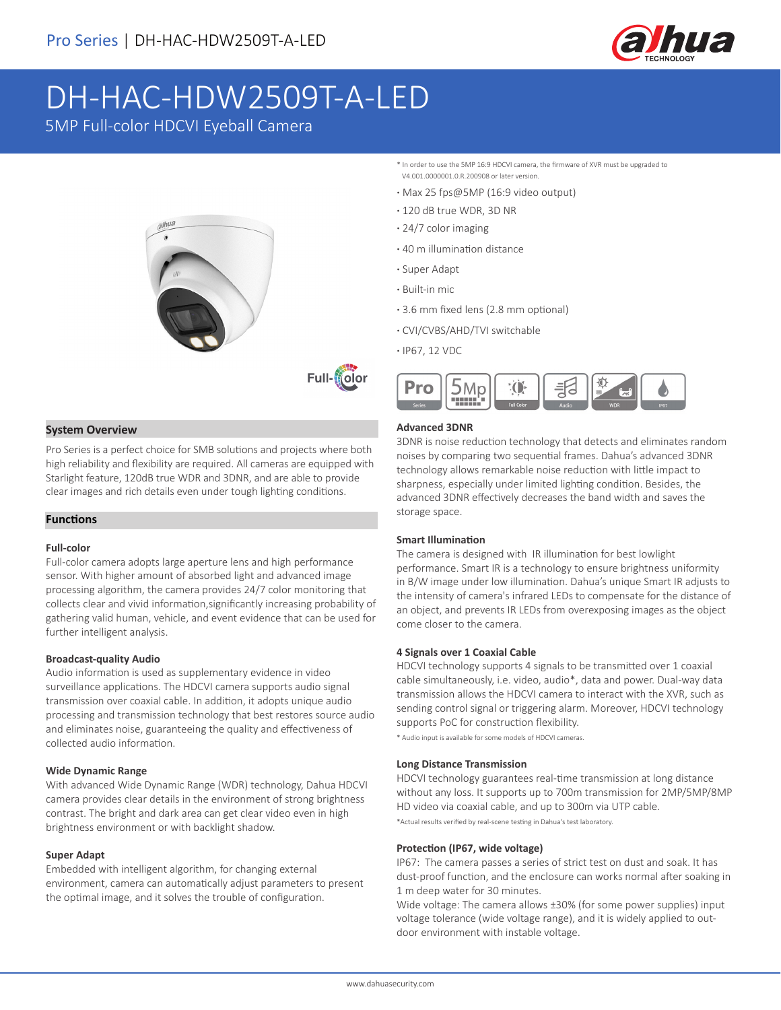

# DH-HAC-HDW2509T-A-LED

5MP Full-color HDCVI Eyeball Camera





# **System Overview**

Pro Series is a perfect choice for SMB solutions and projects where both high reliability and flexibility are required. All cameras are equipped with Starlight feature, 120dB true WDR and 3DNR, and are able to provide clear images and rich details even under tough lighting conditions.

# **Functions**

# **Full-color**

Full-color camera adopts large aperture lens and high performance sensor. With higher amount of absorbed light and advanced image processing algorithm, the camera provides 24/7 color monitoring that collects clear and vivid information,significantly increasing probability of gathering valid human, vehicle, and event evidence that can be used for further intelligent analysis.

# **Broadcast-quality Audio**

Audio information is used as supplementary evidence in video surveillance applications. The HDCVI camera supports audio signal transmission over coaxial cable. In addition, it adopts unique audio processing and transmission technology that best restores source audio and eliminates noise, guaranteeing the quality and effectiveness of collected audio information.

# **Wide Dynamic Range**

With advanced Wide Dynamic Range (WDR) technology, Dahua HDCVI camera provides clear details in the environment of strong brightness contrast. The bright and dark area can get clear video even in high brightness environment or with backlight shadow.

#### **Super Adapt**

Embedded with intelligent algorithm, for changing external environment, camera can automatically adjust parameters to present the optimal image, and it solves the trouble of configuration.

- \* In order to use the 5MP 16:9 HDCVI camera, the firmware of XVR must be upgraded to V4.001.0000001.0.R.200908 or later version.
- **·** Max 25 fps@5MP (16:9 video output)
- **·** 120 dB true WDR, 3D NR
- **·** 24/7 color imaging
- **·** 40 m illumination distance
- **·** Super Adapt
- **·** Built-in mic
- **·** 3.6 mm fixed lens (2.8 mm optional)
- **·** CVI/CVBS/AHD/TVI switchable
- **·** IP67, 12 VDC



# **Advanced 3DNR**

3DNR is noise reduction technology that detects and eliminates random noises by comparing two sequential frames. Dahua's advanced 3DNR technology allows remarkable noise reduction with little impact to sharpness, especially under limited lighting condition. Besides, the advanced 3DNR effectively decreases the band width and saves the storage space.

#### **Smart Illumination**

The camera is designed with IR illumination for best lowlight performance. Smart IR is a technology to ensure brightness uniformity in B/W image under low illumination. Dahua's unique Smart IR adjusts to the intensity of camera's infrared LEDs to compensate for the distance of an object, and prevents IR LEDs from overexposing images as the object come closer to the camera.

#### **4 Signals over 1 Coaxial Cable**

HDCVI technology supports 4 signals to be transmitted over 1 coaxial cable simultaneously, i.e. video, audio\*, data and power. Dual-way data transmission allows the HDCVI camera to interact with the XVR, such as sending control signal or triggering alarm. Moreover, HDCVI technology supports PoC for construction flexibility.

\* Audio input is available for some models of HDCVI cameras.

# **Long Distance Transmission**

HDCVI technology guarantees real-time transmission at long distance without any loss. It supports up to 700m transmission for 2MP/5MP/8MP HD video via coaxial cable, and up to 300m via UTP cable.

\*Actual results verified by real-scene testing in Dahua's test laboratory.

#### **Protection (IP67, wide voltage)**

IP67: The camera passes a series of strict test on dust and soak. It has dust-proof function, and the enclosure can works normal after soaking in 1 m deep water for 30 minutes.

Wide voltage: The camera allows ±30% (for some power supplies) input voltage tolerance (wide voltage range), and it is widely applied to outdoor environment with instable voltage.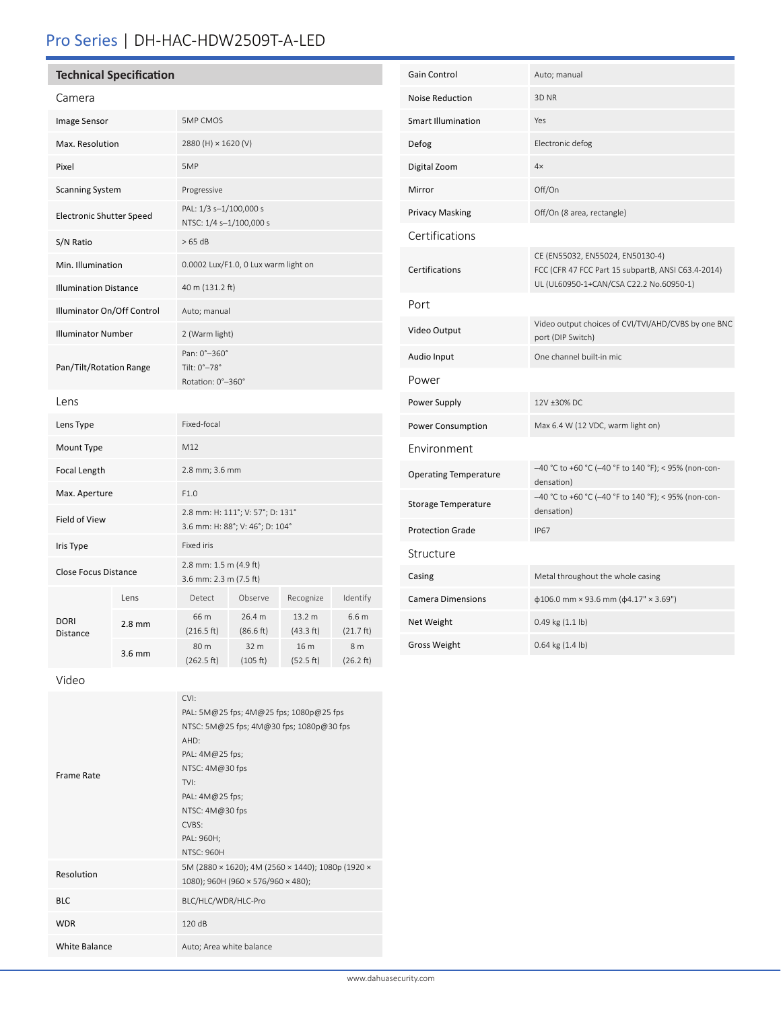# Pro Series | DH-HAC-HDW2509T-A-LED

| Camera                          |                  |                                                                     |                     |                     |                               |
|---------------------------------|------------------|---------------------------------------------------------------------|---------------------|---------------------|-------------------------------|
| Image Sensor                    |                  | <b>5MP CMOS</b>                                                     |                     |                     |                               |
| Max. Resolution                 |                  | 2880 (H) × 1620 (V)                                                 |                     |                     |                               |
| Pixel                           |                  | 5MP                                                                 |                     |                     |                               |
| <b>Scanning System</b>          |                  | Progressive                                                         |                     |                     |                               |
| <b>Electronic Shutter Speed</b> |                  | PAL: 1/3 s-1/100,000 s<br>NTSC: 1/4 s-1/100,000 s                   |                     |                     |                               |
| S/N Ratio                       |                  | >65 dB                                                              |                     |                     |                               |
| Min. Illumination               |                  | 0.0002 Lux/F1.0, 0 Lux warm light on                                |                     |                     |                               |
| <b>Illumination Distance</b>    |                  | 40 m (131.2 ft)                                                     |                     |                     |                               |
| Illuminator On/Off Control      |                  | Auto; manual                                                        |                     |                     |                               |
| <b>Illuminator Number</b>       |                  | 2 (Warm light)                                                      |                     |                     |                               |
| Pan/Tilt/Rotation Range         |                  | Pan: 0°-360°<br>Tilt: 0°-78°<br>Rotation: 0°-360°                   |                     |                     |                               |
| Lens                            |                  |                                                                     |                     |                     |                               |
| Lens Type                       |                  | Fixed-focal                                                         |                     |                     |                               |
| Mount Type                      |                  | M12                                                                 |                     |                     |                               |
| <b>Focal Length</b>             |                  | 2.8 mm; 3.6 mm                                                      |                     |                     |                               |
| Max. Aperture                   |                  | F1.0                                                                |                     |                     |                               |
| Field of View                   |                  | 2.8 mm: H: 111°; V: 57°; D: 131°<br>3.6 mm: H: 88°; V: 46°; D: 104° |                     |                     |                               |
| Iris Type                       |                  | Fixed iris                                                          |                     |                     |                               |
| <b>Close Focus Distance</b>     |                  | 2.8 mm: 1.5 m (4.9 ft)<br>3.6 mm: 2.3 m (7.5 ft)                    |                     |                     |                               |
| <b>DORI</b><br>Distance         | Lens             | Detect                                                              | Observe             | Recognize           | Identify                      |
|                                 | $2.8 \text{ mm}$ | 66 m<br>(216.5 ft)                                                  | 26.4 m<br>(86.6 ft) | 13.2 m<br>(43.3 ft) | 6.6 <sub>m</sub><br>(21.7 ft) |
|                                 | $3.6 \text{ mm}$ | 80 m<br>(262.5 ft)                                                  | 32 m<br>(105 ft)    | 16 m<br>(52.5 ft)   | 8 m<br>(26.2 ft)              |

| Gain Control                 | Auto; manual                                                                                                                      |  |  |  |  |
|------------------------------|-----------------------------------------------------------------------------------------------------------------------------------|--|--|--|--|
| <b>Noise Reduction</b>       | 3D NR                                                                                                                             |  |  |  |  |
| <b>Smart Illumination</b>    | Yes                                                                                                                               |  |  |  |  |
| Defog                        | Electronic defog                                                                                                                  |  |  |  |  |
| Digital Zoom                 | 4x                                                                                                                                |  |  |  |  |
| Mirror                       | Off/On                                                                                                                            |  |  |  |  |
| Privacy Masking              | Off/On (8 area, rectangle)                                                                                                        |  |  |  |  |
| Certifications               |                                                                                                                                   |  |  |  |  |
| Certifications               | CE (EN55032, EN55024, EN50130-4)<br>FCC (CFR 47 FCC Part 15 subpartB, ANSI C63.4-2014)<br>UL (UL60950-1+CAN/CSA C22.2 No.60950-1) |  |  |  |  |
| Port                         |                                                                                                                                   |  |  |  |  |
| Video Output                 | Video output choices of CVI/TVI/AHD/CVBS by one BNC<br>port (DIP Switch)                                                          |  |  |  |  |
| Audio Input                  | One channel built-in mic                                                                                                          |  |  |  |  |
| Power                        |                                                                                                                                   |  |  |  |  |
| Power Supply                 | 12V ±30% DC                                                                                                                       |  |  |  |  |
| Power Consumption            | Max 6.4 W (12 VDC, warm light on)                                                                                                 |  |  |  |  |
| Environment                  |                                                                                                                                   |  |  |  |  |
| <b>Operating Temperature</b> | -40 °C to +60 °C (-40 °F to 140 °F); < 95% (non-con-<br>densation)                                                                |  |  |  |  |
| Storage Temperature          | -40 °C to +60 °C (-40 °F to 140 °F); < 95% (non-con-<br>densation)                                                                |  |  |  |  |
| <b>Protection Grade</b>      | <b>IP67</b>                                                                                                                       |  |  |  |  |
| Structure                    |                                                                                                                                   |  |  |  |  |
| Casing                       | Metal throughout the whole casing                                                                                                 |  |  |  |  |
| <b>Camera Dimensions</b>     | $\phi$ 106.0 mm × 93.6 mm ( $\phi$ 4.17" × 3.69")                                                                                 |  |  |  |  |
| Net Weight                   | 0.49 kg (1.1 lb)                                                                                                                  |  |  |  |  |
| <b>Gross Weight</b>          | $0.64$ kg $(1.4$ lb)                                                                                                              |  |  |  |  |

Video

| Frame Rate           | CVI:<br>PAL: 5M@25 fps; 4M@25 fps; 1080p@25 fps<br>NTSC: 5M@25 fps; 4M@30 fps; 1080p@30 fps<br>AHD:<br>PAL: 4M@25 fps;<br>NTSC: 4M@30 fps<br>TVI:<br>PAL: 4M@25 fps;<br>NTSC: 4M@30 fps<br>CVBS:<br>PAL: 960H; |
|----------------------|----------------------------------------------------------------------------------------------------------------------------------------------------------------------------------------------------------------|
| Resolution           | <b>NTSC: 960H</b><br>5M (2880 × 1620); 4M (2560 × 1440); 1080p (1920 ×<br>1080); 960H (960 × 576/960 × 480);                                                                                                   |
| <b>BLC</b>           | BLC/HLC/WDR/HLC-Pro                                                                                                                                                                                            |
| <b>WDR</b>           | 120 dB                                                                                                                                                                                                         |
| <b>White Balance</b> | Auto; Area white balance                                                                                                                                                                                       |